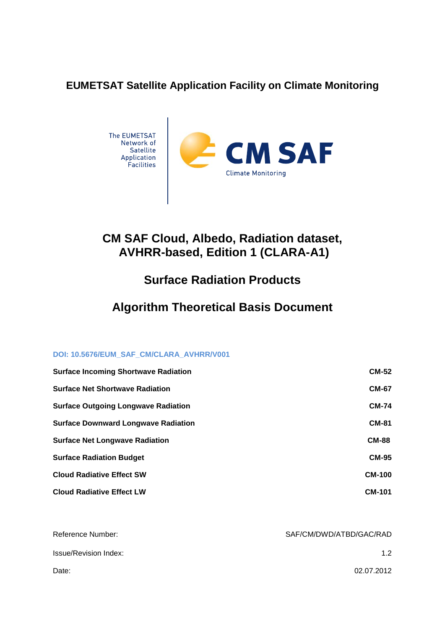# **EUMETSAT Satellite Application Facility on Climate Monitoring**



# **CM SAF Cloud, Albedo, Radiation dataset, AVHRR-based, Edition 1 (CLARA-A1)**

# **Surface Radiation Products**

# **Algorithm Theoretical Basis Document**

### **DOI: 10.5676/EUM\_SAF\_CM/CLARA\_AVHRR/V001**

| <b>Surface Incoming Shortwave Radiation</b> | <b>CM-52</b>  |
|---------------------------------------------|---------------|
| <b>Surface Net Shortwave Radiation</b>      | <b>CM-67</b>  |
| <b>Surface Outgoing Longwave Radiation</b>  | <b>CM-74</b>  |
| <b>Surface Downward Longwave Radiation</b>  | <b>CM-81</b>  |
| <b>Surface Net Longwave Radiation</b>       | <b>CM-88</b>  |
| <b>Surface Radiation Budget</b>             | <b>CM-95</b>  |
| <b>Cloud Radiative Effect SW</b>            | <b>CM-100</b> |
| <b>Cloud Radiative Effect LW</b>            | <b>CM-101</b> |

| Reference Number:     | SAF/CM/DWD/ATBD/GAC/RAD |  |
|-----------------------|-------------------------|--|
| Issue/Revision Index: | 1.2                     |  |
| Date:                 | 02.07.2012              |  |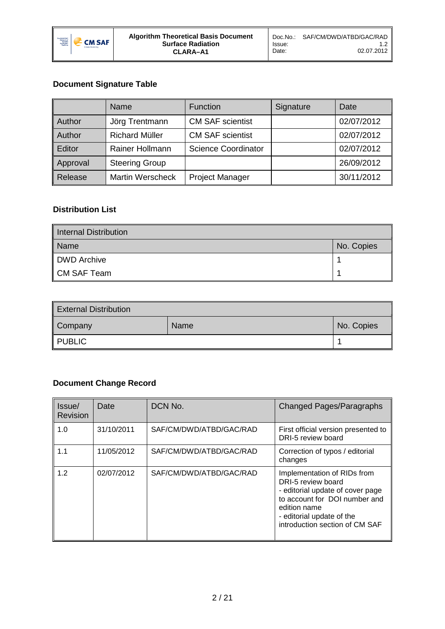

# **Document Signature Table**

|                | Name                    | Function                   | Signature | Date       |
|----------------|-------------------------|----------------------------|-----------|------------|
| <b>Author</b>  | Jörg Trentmann          | <b>CM SAF scientist</b>    |           | 02/07/2012 |
| <b>Author</b>  | <b>Richard Müller</b>   | <b>CM SAF scientist</b>    |           | 02/07/2012 |
| Editor         | Rainer Hollmann         | <b>Science Coordinator</b> |           | 02/07/2012 |
| Approval       | <b>Steering Group</b>   |                            |           | 26/09/2012 |
| <b>Release</b> | <b>Martin Werscheck</b> | <b>Project Manager</b>     |           | 30/11/2012 |

# **Distribution List**

| Internal Distribution |            |
|-----------------------|------------|
| Name                  | No. Copies |
| DWD Archive           |            |
| $\,$ CM SAF Team $\,$ |            |

| <b>External Distribution</b> |      |            |
|------------------------------|------|------------|
| Company                      | Name | No. Copies |
| <b>PUBLIC</b>                |      |            |

# **Document Change Record**

| Issue/<br>Revision | Date       | DCN No.                 | <b>Changed Pages/Paragraphs</b>                                                                                                                                                                       |
|--------------------|------------|-------------------------|-------------------------------------------------------------------------------------------------------------------------------------------------------------------------------------------------------|
| 1.0                | 31/10/2011 | SAF/CM/DWD/ATBD/GAC/RAD | First official version presented to<br>DRI-5 review board                                                                                                                                             |
| 1.1                | 11/05/2012 | SAF/CM/DWD/ATBD/GAC/RAD | Correction of typos / editorial<br>changes                                                                                                                                                            |
| 1.2                | 02/07/2012 | SAF/CM/DWD/ATBD/GAC/RAD | Implementation of RIDs from<br>DRI-5 review board<br>- editorial update of cover page<br>to account for DOI number and<br>edition name<br>- editorial update of the<br>introduction section of CM SAF |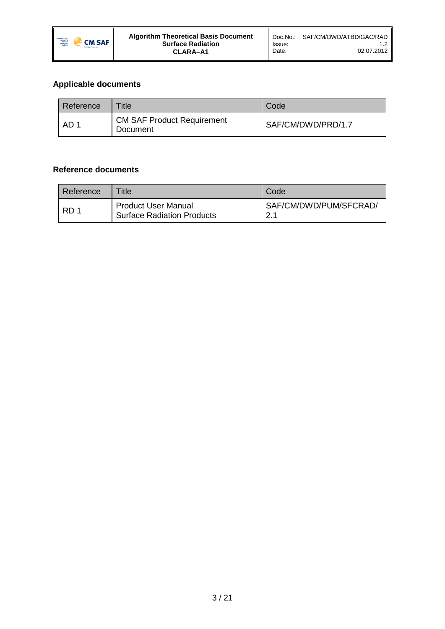

# **Applicable documents**

<span id="page-2-0"></span>

| Reference | Title                                         | Code               |
|-----------|-----------------------------------------------|--------------------|
| AD 1      | <b>CM SAF Product Requirement</b><br>Document | SAF/CM/DWD/PRD/1.7 |

## **Reference documents**

<span id="page-2-1"></span>

| Reference | Title -                                                         | Code                          |
|-----------|-----------------------------------------------------------------|-------------------------------|
| RD 1      | <b>Product User Manual</b><br><b>Surface Radiation Products</b> | SAF/CM/DWD/PUM/SFCRAD/<br>っ 1 |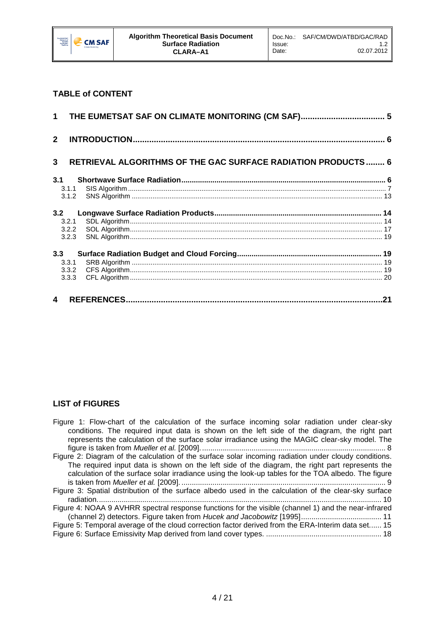

# **TABLE of CONTENT**

| $\mathbf{2}$     |                                                                      |  |
|------------------|----------------------------------------------------------------------|--|
| 3                | <b>RETRIEVAL ALGORITHMS OF THE GAC SURFACE RADIATION PRODUCTS  6</b> |  |
| 3.1              |                                                                      |  |
|                  | 3.1.1                                                                |  |
|                  | 3.1.2                                                                |  |
| 3.2              |                                                                      |  |
|                  | 3.2.1                                                                |  |
|                  | 3.2.2                                                                |  |
|                  | 3.2.3                                                                |  |
| 3.3              |                                                                      |  |
|                  | 3.3.1                                                                |  |
|                  | 3.3.2                                                                |  |
|                  | 3.3.3                                                                |  |
| $\blacktriangle$ |                                                                      |  |

### **LIST of FIGURES**

| Figure 1: Flow-chart of the calculation of the surface incoming solar radiation under clear-sky       |
|-------------------------------------------------------------------------------------------------------|
| conditions. The required input data is shown on the left side of the diagram, the right part          |
| represents the calculation of the surface solar irradiance using the MAGIC clear-sky model. The       |
|                                                                                                       |
| Figure 2: Diagram of the calculation of the surface solar incoming radiation under cloudy conditions. |
| The required input data is shown on the left side of the diagram, the right part represents the       |
| calculation of the surface solar irradiance using the look-up tables for the TOA albedo. The figure   |
|                                                                                                       |
| Figure 3: Spatial distribution of the surface albedo used in the calculation of the clear-sky surface |
|                                                                                                       |
| Figure 4: NOAA 9 AVHRR spectral response functions for the visible (channel 1) and the near-infrared  |
|                                                                                                       |
| Figure 5: Temporal average of the cloud correction factor derived from the ERA-Interim data set 15    |
|                                                                                                       |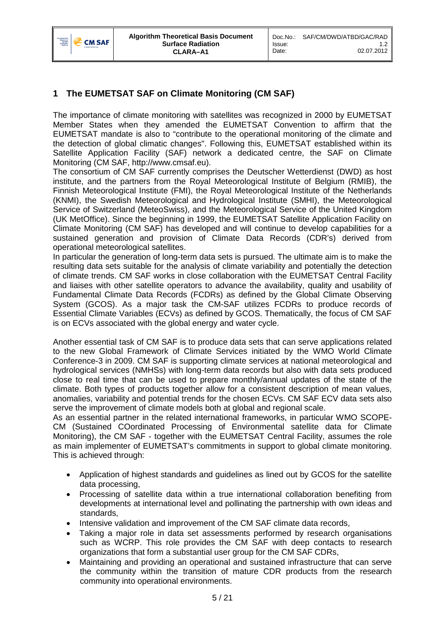

# <span id="page-4-0"></span>**1 The EUMETSAT SAF on Climate Monitoring (CM SAF)**

The importance of climate monitoring with satellites was recognized in 2000 by EUMETSAT Member States when they amended the EUMETSAT Convention to affirm that the EUMETSAT mandate is also to "contribute to the operational monitoring of the climate and the detection of global climatic changes". Following this, EUMETSAT established within its Satellite Application Facility (SAF) network a dedicated centre, the SAF on Climate Monitoring (CM SAF, http://www.cmsaf.eu).

The consortium of CM SAF currently comprises the Deutscher Wetterdienst (DWD) as host institute, and the partners from the Royal Meteorological Institute of Belgium (RMIB), the Finnish Meteorological Institute (FMI), the Royal Meteorological Institute of the Netherlands (KNMI), the Swedish Meteorological and Hydrological Institute (SMHI), the Meteorological Service of Switzerland (MeteoSwiss), and the Meteorological Service of the United Kingdom (UK MetOffice). Since the beginning in 1999, the EUMETSAT Satellite Application Facility on Climate Monitoring (CM SAF) has developed and will continue to develop capabilities for a sustained generation and provision of Climate Data Records (CDR's) derived from operational meteorological satellites.

In particular the generation of long-term data sets is pursued. The ultimate aim is to make the resulting data sets suitable for the analysis of climate variability and potentially the detection of climate trends. CM SAF works in close collaboration with the EUMETSAT Central Facility and liaises with other satellite operators to advance the availability, quality and usability of Fundamental Climate Data Records (FCDRs) as defined by the Global Climate Observing System (GCOS). As a major task the CM-SAF utilizes FCDRs to produce records of Essential Climate Variables (ECVs) as defined by GCOS. Thematically, the focus of CM SAF is on ECVs associated with the global energy and water cycle.

Another essential task of CM SAF is to produce data sets that can serve applications related to the new Global Framework of Climate Services initiated by the WMO World Climate Conference-3 in 2009. CM SAF is supporting climate services at national meteorological and hydrological services (NMHSs) with long-term data records but also with data sets produced close to real time that can be used to prepare monthly/annual updates of the state of the climate. Both types of products together allow for a consistent description of mean values, anomalies, variability and potential trends for the chosen ECVs. CM SAF ECV data sets also serve the improvement of climate models both at global and regional scale.

As an essential partner in the related international frameworks, in particular WMO SCOPE-CM (Sustained COordinated Processing of Environmental satellite data for Climate Monitoring), the CM SAF - together with the EUMETSAT Central Facility, assumes the role as main implementer of EUMETSAT's commitments in support to global climate monitoring. This is achieved through:

- Application of highest standards and guidelines as lined out by GCOS for the satellite data processing,
- Processing of satellite data within a true international collaboration benefiting from developments at international level and pollinating the partnership with own ideas and standards,
- Intensive validation and improvement of the CM SAF climate data records,
- Taking a major role in data set assessments performed by research organisations such as WCRP. This role provides the CM SAF with deep contacts to research organizations that form a substantial user group for the CM SAF CDRs,
- Maintaining and providing an operational and sustained infrastructure that can serve the community within the transition of mature CDR products from the research community into operational environments.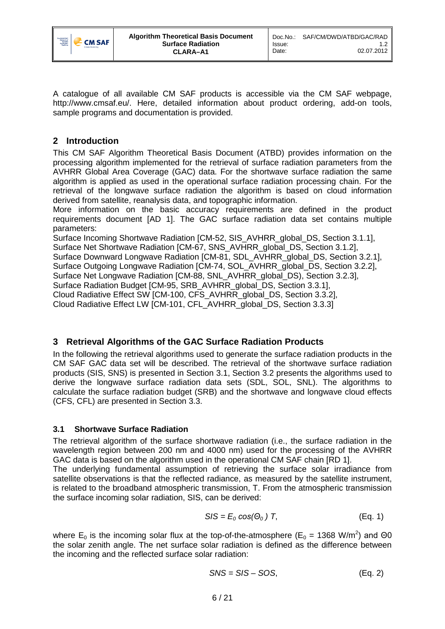

A catalogue of all available CM SAF products is accessible via the CM SAF webpage, http://www.cmsaf.eu/. Here, detailed information about product ordering, add-on tools, sample programs and documentation is provided.

# <span id="page-5-0"></span>**2 Introduction**

This CM SAF Algorithm Theoretical Basis Document (ATBD) provides information on the processing algorithm implemented for the retrieval of surface radiation parameters from the AVHRR Global Area Coverage (GAC) data. For the shortwave surface radiation the same algorithm is applied as used in the operational surface radiation processing chain. For the retrieval of the longwave surface radiation the algorithm is based on cloud information derived from satellite, reanalysis data, and topographic information.

More information on the basic accuracy requirements are defined in the product requirements document [\[AD 1\]](#page-2-0). The GAC surface radiation data set contains multiple parameters:

Surface Incoming Shortwave Radiation [CM-52, SIS\_AVHRR\_global\_DS, Section [3.1.1\]](#page-6-0), Surface Net Shortwave Radiation [CM-67, SNS\_AVHRR\_global\_DS, Section [3.1.2\]](#page-12-0),

Surface Downward Longwave Radiation [CM-81, SDL\_AVHRR\_global\_DS, Section [3.2.1\]](#page-13-1),

Surface Outgoing Longwave Radiation [CM-74, SOL\_AVHRR\_global\_DS, Section [3.2.2\]](#page-16-0),

Surface Net Longwave Radiation [CM-88, SNL\_AVHRR\_global\_DS), Section [3.2.3\]](#page-18-0),

Surface Radiation Budget [CM-95, SRB\_AVHRR\_global\_DS, Section [3.3.1\]](#page-18-2),

Cloud Radiative Effect SW [CM-100, CFS\_AVHRR\_global\_DS, Section [3.3.2\]](#page-18-3),

Cloud Radiative Effect LW [CM-101, CFL\_AVHRR\_global\_DS, Section [3.3.3\]](#page-19-0)

# <span id="page-5-1"></span>**3 Retrieval Algorithms of the GAC Surface Radiation Products**

In the following the retrieval algorithms used to generate the surface radiation products in the CM SAF GAC data set will be described. The retrieval of the shortwave surface radiation products (SIS, SNS) is presented in Section [3.1,](#page-5-2) Section [3.2](#page-13-0) presents the algorithms used to derive the longwave surface radiation data sets (SDL, SOL, SNL). The algorithms to calculate the surface radiation budget (SRB) and the shortwave and longwave cloud effects (CFS, CFL) are presented in Section [3.3.](#page-18-1)

# <span id="page-5-2"></span>**3.1 Shortwave Surface Radiation**

The retrieval algorithm of the surface shortwave radiation (i.e., the surface radiation in the wavelength region between 200 nm and 4000 nm) used for the processing of the AVHRR GAC data is based on the algorithm used in the operational CM SAF chain [\[RD 1\]](#page-2-1).

The underlying fundamental assumption of retrieving the surface solar irradiance from satellite observations is that the reflected radiance, as measured by the satellite instrument, is related to the broadband atmospheric transmission, T. From the atmospheric transmission the surface incoming solar radiation, SIS, can be derived:

<span id="page-5-3"></span>
$$
S/S = E_0 \cos(\Theta_0) T,
$$
 (Eq. 1)

where  $E_0$  is the incoming solar flux at the top-of-the-atmosphere ( $E_0$  = 1368 W/m<sup>2</sup>) and  $\Theta$ 0 the solar zenith angle. The net surface solar radiation is defined as the difference between the incoming and the reflected surface solar radiation:

$$
SNS = SIS - SOS,
$$
 (Eq. 2)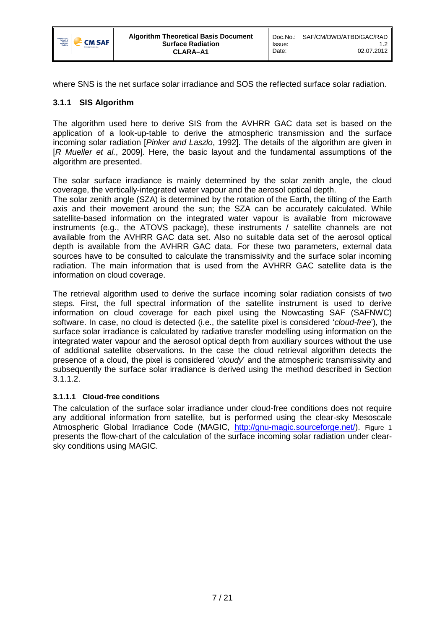

where SNS is the net surface solar irradiance and SOS the reflected surface solar radiation.

## <span id="page-6-0"></span>**3.1.1 SIS Algorithm**

The algorithm used here to derive SIS from the AVHRR GAC data set is based on the application of a look-up-table to derive the atmospheric transmission and the surface incoming solar radiation [*Pinker and Laszlo*, 1992]. The details of the algorithm are given in [*R Mueller et al.*, 2009]. Here, the basic layout and the fundamental assumptions of the algorithm are presented.

The solar surface irradiance is mainly determined by the solar zenith angle, the cloud coverage, the vertically-integrated water vapour and the aerosol optical depth.

The solar zenith angle (SZA) is determined by the rotation of the Earth, the tilting of the Earth axis and their movement around the sun; the SZA can be accurately calculated. While satellite-based information on the integrated water vapour is available from microwave instruments (e.g., the ATOVS package), these instruments / satellite channels are not available from the AVHRR GAC data set. Also no suitable data set of the aerosol optical depth is available from the AVHRR GAC data. For these two parameters, external data sources have to be consulted to calculate the transmissivity and the surface solar incoming radiation. The main information that is used from the AVHRR GAC satellite data is the information on cloud coverage.

The retrieval algorithm used to derive the surface incoming solar radiation consists of two steps. First, the full spectral information of the satellite instrument is used to derive information on cloud coverage for each pixel using the Nowcasting SAF (SAFNWC) software. In case, no cloud is detected (i.e., the satellite pixel is considered '*cloud-free*'), the surface solar irradiance is calculated by radiative transfer modelling using information on the integrated water vapour and the aerosol optical depth from auxiliary sources without the use of additional satellite observations. In the case the cloud retrieval algorithm detects the presence of a cloud, the pixel is considered '*cloudy*' and the atmospheric transmissivity and subsequently the surface solar irradiance is derived using the method described in Section [3.1.1.2.](#page-9-1)

### **3.1.1.1 Cloud-free conditions**

The calculation of the surface solar irradiance under cloud-free conditions does not require any additional information from satellite, but is performed using the clear-sky Mesoscale Atmospheric Global Irradiance Code (MAGIC, [http://gnu-magic.sourceforge.net/\)](http://gnu-magic.sourceforge.net/). [Figure 1](#page-7-0) presents the flow-chart of the calculation of the surface incoming solar radiation under clearsky conditions using MAGIC.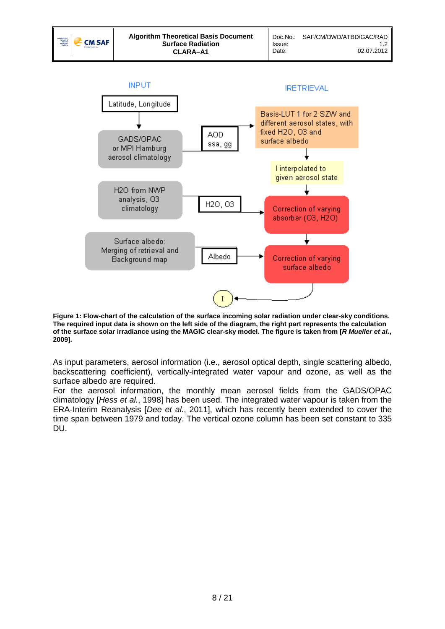

H<sub>20</sub>, 03

Albedo

Correction of varying absorber (O3, H2O)

Correction of varying

surface albedo

H2O from NWP analysis, O3

climatology

Surface albedo: Merging of retrieval and

Background map

<span id="page-7-0"></span>

As input parameters, aerosol information (i.e., aerosol optical depth, single scattering albedo, backscattering coefficient), vertically-integrated water vapour and ozone, as well as the surface albedo are required.

For the aerosol information, the monthly mean aerosol fields from the GADS/OPAC climatology [*Hess et al.*, 1998] has been used. The integrated water vapour is taken from the ERA-Interim Reanalysis [*Dee et al.*, 2011], which has recently been extended to cover the time span between 1979 and today. The vertical ozone column has been set constant to 335 DU.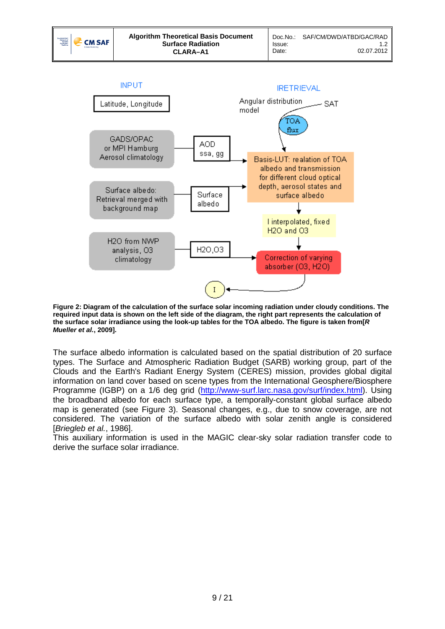02.07.2012



<span id="page-8-0"></span>**Figure 2: Diagram of the calculation of the surface solar incoming radiation under cloudy conditions. The required input data is shown on the left side of the diagram, the right part represents the calculation of the surface solar irradiance using the look-up tables for the TOA albedo. The figure is taken from[***R Mueller et al.***, 2009].**

The surface albedo information is calculated based on the spatial distribution of 20 surface types. The Surface and Atmospheric Radiation Budget (SARB) working group, part of the Clouds and the Earth's Radiant Energy System (CERES) mission, provides global digital information on land cover based on scene types from the International Geosphere/Biosphere Programme (IGBP) on a 1/6 deg grid [\(http://www-surf.larc.nasa.gov/surf/index.html\)](http://www-surf.larc.nasa.gov/surf/index.html). Using the broadband albedo for each surface type, a temporally-constant global surface albedo map is generated (see [Figure 3\)](#page-9-0). Seasonal changes, e.g., due to snow coverage, are not considered. The variation of the surface albedo with solar zenith angle is considered [*Briegleb et al.*, 1986].

This auxiliary information is used in the MAGIC clear-sky solar radiation transfer code to derive the surface solar irradiance.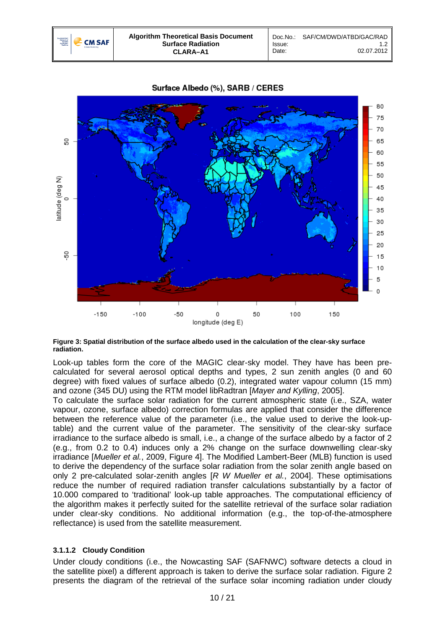



#### Surface Albedo (%), SARB / CERES

<span id="page-9-0"></span>**Figure 3: Spatial distribution of the surface albedo used in the calculation of the clear-sky surface radiation.**

Look-up tables form the core of the MAGIC clear-sky model. They have has been precalculated for several aerosol optical depths and types, 2 sun zenith angles (0 and 60 degree) with fixed values of surface albedo (0.2), integrated water vapour column (15 mm) and ozone (345 DU) using the RTM model libRadtran [*Mayer and Kylling*, 2005].

To calculate the surface solar radiation for the current atmospheric state (i.e., SZA, water vapour, ozone, surface albedo) correction formulas are applied that consider the difference between the reference value of the parameter (i.e., the value used to derive the look-uptable) and the current value of the parameter. The sensitivity of the clear-sky surface irradiance to the surface albedo is small, i.e., a change of the surface albedo by a factor of 2 (e.g., from 0.2 to 0.4) induces only a 2% change on the surface downwelling clear-sky irradiance [*Mueller et al.*, 2009, Figure 4]. The Modified Lambert-Beer (MLB) function is used to derive the dependency of the surface solar radiation from the solar zenith angle based on only 2 pre-calculated solar-zenith angles [*R W Mueller et al.*, 2004]. These optimisations reduce the number of required radiation transfer calculations substantially by a factor of 10.000 compared to 'traditional' look-up table approaches. The computational efficiency of the algorithm makes it perfectly suited for the satellite retrieval of the surface solar radiation under clear-sky conditions. No additional information (e.g., the top-of-the-atmosphere reflectance) is used from the satellite measurement.

### <span id="page-9-1"></span>**3.1.1.2 Cloudy Condition**

Under cloudy conditions (i.e., the Nowcasting SAF (SAFNWC) software detects a cloud in the satellite pixel) a different approach is taken to derive the surface solar radiation. [Figure 2](#page-8-0) presents the diagram of the retrieval of the surface solar incoming radiation under cloudy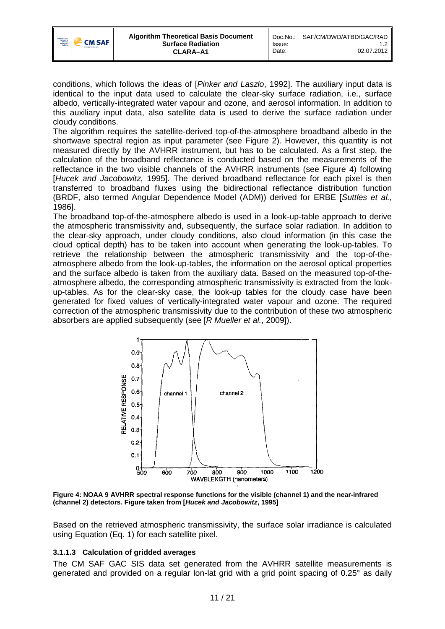

conditions, which follows the ideas of [*Pinker and Laszlo*, 1992]. The auxiliary input data is identical to the input data used to calculate the clear-sky surface radiation, i.e., surface albedo, vertically-integrated water vapour and ozone, and aerosol information. In addition to this auxiliary input data, also satellite data is used to derive the surface radiation under cloudy conditions.

The algorithm requires the satellite-derived top-of-the-atmosphere broadband albedo in the shortwave spectral region as input parameter (see [Figure 2\)](#page-8-0). However, this quantity is not measured directly by the AVHRR instrument, but has to be calculated. As a first step, the calculation of the broadband reflectance is conducted based on the measurements of the reflectance in the two visible channels of the AVHRR instruments (see [Figure 4\)](#page-10-0) following [*Hucek and Jacobowitz*, 1995]. The derived broadband reflectance for each pixel is then transferred to broadband fluxes using the bidirectional reflectance distribution function (BRDF, also termed Angular Dependence Model (ADM)) derived for ERBE [*Suttles et al.*, 1986].

The broadband top-of-the-atmosphere albedo is used in a look-up-table approach to derive the atmospheric transmissivity and, subsequently, the surface solar radiation. In addition to the clear-sky approach, under cloudy conditions, also cloud information (in this case the cloud optical depth) has to be taken into account when generating the look-up-tables. To retrieve the relationship between the atmospheric transmissivity and the top-of-theatmosphere albedo from the look-up-tables, the information on the aerosol optical properties and the surface albedo is taken from the auxiliary data. Based on the measured top-of-theatmosphere albedo, the corresponding atmospheric transmissivity is extracted from the lookup-tables. As for the clear-sky case, the look-up tables for the cloudy case have been generated for fixed values of vertically-integrated water vapour and ozone. The required correction of the atmospheric transmissivity due to the contribution of these two atmospheric absorbers are applied subsequently (see [*R Mueller et al.*, 2009]).



<span id="page-10-0"></span>**Figure 4: NOAA 9 AVHRR spectral response functions for the visible (channel 1) and the near-infrared (channel 2) detectors. Figure taken from [***Hucek and Jacobowitz***, 1995]**

Based on the retrieved atmospheric transmissivity, the surface solar irradiance is calculated using Equation [\(Eq. 1\)](#page-5-3) for each satellite pixel.

# **3.1.1.3 Calculation of gridded averages**

The CM SAF GAC SIS data set generated from the AVHRR satellite measurements is generated and provided on a regular lon-lat grid with a grid point spacing of 0.25° as daily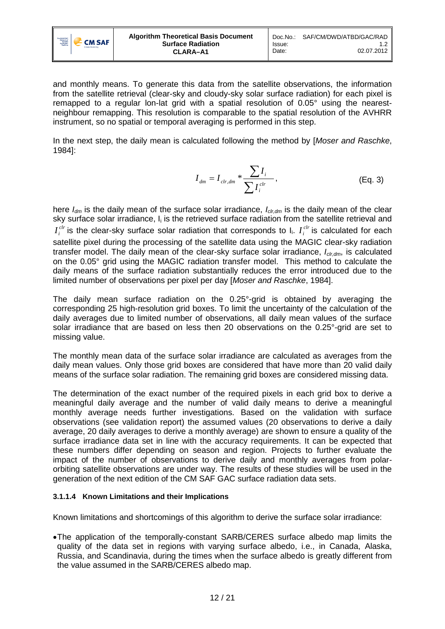

and monthly means. To generate this data from the satellite observations, the information from the satellite retrieval (clear-sky and cloudy-sky solar surface radiation) for each pixel is remapped to a regular lon-lat grid with a spatial resolution of 0.05° using the nearestneighbour remapping. This resolution is comparable to the spatial resolution of the AVHRR instrument, so no spatial or temporal averaging is performed in this step.

In the next step, the daily mean is calculated following the method by [*Moser and Raschke*, 1984]:

$$
I_{dm} = I_{chr, dm} * \frac{\sum I_i}{\sum I_i^{chr}},
$$
 (Eq. 3)

here *Idm* is the daily mean of the surface solar irradiance, *Iclr,dm* is the daily mean of the clear sky surface solar irradiance,  $I_i$  is the retrieved surface radiation from the satellite retrieval and  $I_i^{clr}$  is the clear-sky surface solar radiation that corresponds to  $I_i$ .  $I_i^{clr}$  is calculated for each satellite pixel during the processing of the satellite data using the MAGIC clear-sky radiation transfer model. The daily mean of the clear-sky surface solar irradiance, *I<sub>clear</sub>*, is calculated on the 0.05° grid using the MAGIC radiation transfer model. This method to calculate the daily means of the surface radiation substantially reduces the error introduced due to the limited number of observations per pixel per day [*Moser and Raschke*, 1984].

The daily mean surface radiation on the 0.25°-grid is obtained by averaging the corresponding 25 high-resolution grid boxes. To limit the uncertainty of the calculation of the daily averages due to limited number of observations, all daily mean values of the surface solar irradiance that are based on less then 20 observations on the 0.25°-grid are set to missing value.

The monthly mean data of the surface solar irradiance are calculated as averages from the daily mean values. Only those grid boxes are considered that have more than 20 valid daily means of the surface solar radiation. The remaining grid boxes are considered missing data.

The determination of the exact number of the required pixels in each grid box to derive a meaningful daily average and the number of valid daily means to derive a meaningful monthly average needs further investigations. Based on the validation with surface observations (see validation report) the assumed values (20 observations to derive a daily average, 20 daily averages to derive a monthly average) are shown to ensure a quality of the surface irradiance data set in line with the accuracy requirements. It can be expected that these numbers differ depending on season and region. Projects to further evaluate the impact of the number of observations to derive daily and monthly averages from polarorbiting satellite observations are under way. The results of these studies will be used in the generation of the next edition of the CM SAF GAC surface radiation data sets.

### <span id="page-11-0"></span>**3.1.1.4 Known Limitations and their Implications**

Known limitations and shortcomings of this algorithm to derive the surface solar irradiance:

•The application of the temporally-constant SARB/CERES surface albedo map limits the quality of the data set in regions with varying surface albedo, i.e., in Canada, Alaska, Russia, and Scandinavia, during the times when the surface albedo is greatly different from the value assumed in the SARB/CERES albedo map.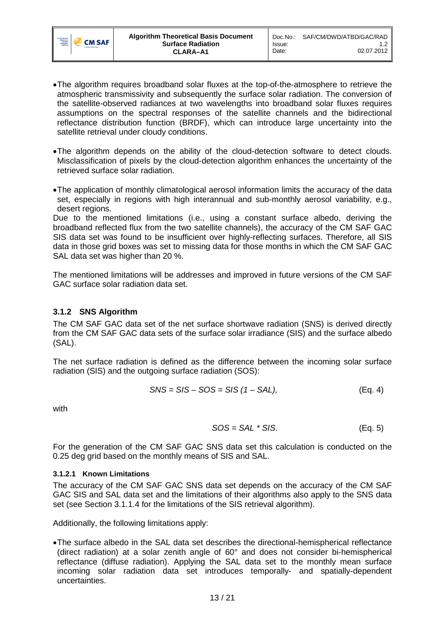

- •The algorithm requires broadband solar fluxes at the top-of-the-atmosphere to retrieve the atmospheric transmissivity and subsequently the surface solar radiation. The conversion of the satellite-observed radiances at two wavelengths into broadband solar fluxes requires assumptions on the spectral responses of the satellite channels and the bidirectional reflectance distribution function (BRDF), which can introduce large uncertainty into the satellite retrieval under cloudy conditions.
- •The algorithm depends on the ability of the cloud-detection software to detect clouds. Misclassification of pixels by the cloud-detection algorithm enhances the uncertainty of the retrieved surface solar radiation.
- •The application of monthly climatological aerosol information limits the accuracy of the data set, especially in regions with high interannual and sub-monthly aerosol variability, e.g., desert regions.

Due to the mentioned limitations (i.e., using a constant surface albedo, deriving the broadband reflected flux from the two satellite channels), the accuracy of the CM SAF GAC SIS data set was found to be insufficient over highly-reflecting surfaces. Therefore, all SIS data in those grid boxes was set to missing data for those months in which the CM SAF GAC SAL data set was higher than 20 %.

The mentioned limitations will be addresses and improved in future versions of the CM SAF GAC surface solar radiation data set.

# <span id="page-12-0"></span>**3.1.2 SNS Algorithm**

The CM SAF GAC data set of the net surface shortwave radiation (SNS) is derived directly from the CM SAF GAC data sets of the surface solar irradiance (SIS) and the surface albedo (SAL).

The net surface radiation is defined as the difference between the incoming solar surface radiation (SIS) and the outgoing surface radiation (SOS):

$$
SNS = SIS - SOS = SIS (1 - SAL),
$$
 (Eq. 4)

with

$$
SOS = SAL * SIS.
$$
 (Eq. 5)

For the generation of the CM SAF GAC SNS data set this calculation is conducted on the 0.25 deg grid based on the monthly means of SIS and SAL.

#### **3.1.2.1 Known Limitations**

The accuracy of the CM SAF GAC SNS data set depends on the accuracy of the CM SAF GAC SIS and SAL data set and the limitations of their algorithms also apply to the SNS data set (see Section [3.1.1.4](#page-11-0) for the limitations of the SIS retrieval algorithm).

Additionally, the following limitations apply:

•The surface albedo in the SAL data set describes the directional-hemispherical reflectance (direct radiation) at a solar zenith angle of 60° and does not consider bi-hemispherical reflectance (diffuse radiation). Applying the SAL data set to the monthly mean surface incoming solar radiation data set introduces temporally- and spatially-dependent uncertainties.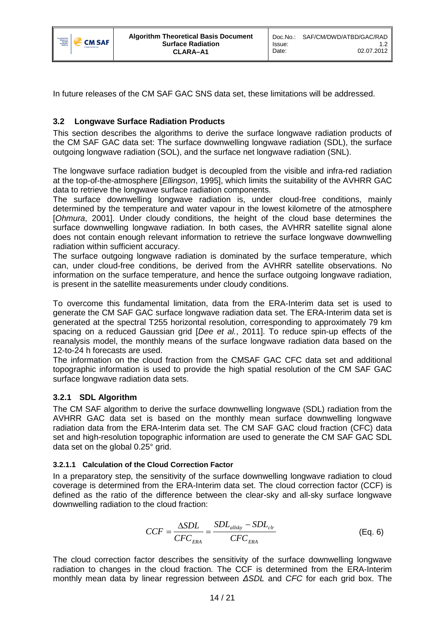

In future releases of the CM SAF GAC SNS data set, these limitations will be addressed.

# <span id="page-13-0"></span>**3.2 Longwave Surface Radiation Products**

This section describes the algorithms to derive the surface longwave radiation products of the CM SAF GAC data set: The surface downwelling longwave radiation (SDL), the surface outgoing longwave radiation (SOL), and the surface net longwave radiation (SNL).

The longwave surface radiation budget is decoupled from the visible and infra-red radiation at the top-of-the-atmosphere [*Ellingson*, 1995], which limits the suitability of the AVHRR GAC data to retrieve the longwave surface radiation components.

The surface downwelling longwave radiation is, under cloud-free conditions, mainly determined by the temperature and water vapour in the lowest kilometre of the atmosphere [*Ohmura*, 2001]. Under cloudy conditions, the height of the cloud base determines the surface downwelling longwave radiation. In both cases, the AVHRR satellite signal alone does not contain enough relevant information to retrieve the surface longwave downwelling radiation within sufficient accuracy.

The surface outgoing longwave radiation is dominated by the surface temperature, which can, under cloud-free conditions, be derived from the AVHRR satellite observations. No information on the surface temperature, and hence the surface outgoing longwave radiation, is present in the satellite measurements under cloudy conditions.

To overcome this fundamental limitation, data from the ERA-Interim data set is used to generate the CM SAF GAC surface longwave radiation data set. The ERA-Interim data set is generated at the spectral T255 horizontal resolution, corresponding to approximately 79 km spacing on a reduced Gaussian grid [*Dee et al.*, 2011]. To reduce spin-up effects of the reanalysis model, the monthly means of the surface longwave radiation data based on the 12-to-24 h forecasts are used.

The information on the cloud fraction from the CMSAF GAC CFC data set and additional topographic information is used to provide the high spatial resolution of the CM SAF GAC surface longwave radiation data sets.

### <span id="page-13-1"></span>**3.2.1 SDL Algorithm**

The CM SAF algorithm to derive the surface downwelling longwave (SDL) radiation from the AVHRR GAC data set is based on the monthly mean surface downwelling longwave radiation data from the ERA-Interim data set. The CM SAF GAC cloud fraction (CFC) data set and high-resolution topographic information are used to generate the CM SAF GAC SDL data set on the global 0.25° grid.

### **3.2.1.1 Calculation of the Cloud Correction Factor**

In a preparatory step, the sensitivity of the surface downwelling longwave radiation to cloud coverage is determined from the ERA-Interim data set. The cloud correction factor (CCF) is defined as the ratio of the difference between the clear-sky and all-sky surface longwave downwelling radiation to the cloud fraction:

$$
CCF = \frac{\Delta SDL}{CFC_{ERA}} = \frac{SDL_{allsky} - SDL_{ctr}}{CFC_{ERA}}
$$
(Eq. 6)

The cloud correction factor describes the sensitivity of the surface downwelling longwave radiation to changes in the cloud fraction. The CCF is determined from the ERA-Interim monthly mean data by linear regression between *ΔSDL* and *CFC* for each grid box. The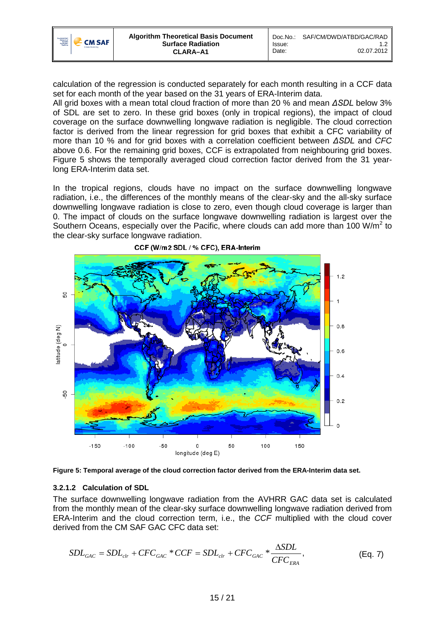

calculation of the regression is conducted separately for each month resulting in a CCF data set for each month of the year based on the 31 years of ERA-Interim data.

All grid boxes with a mean total cloud fraction of more than 20 % and mean *ΔSDL* below 3% of SDL are set to zero. In these grid boxes (only in tropical regions), the impact of cloud coverage on the surface downwelling longwave radiation is negligible. The cloud correction factor is derived from the linear regression for grid boxes that exhibit a CFC variability of more than 10 % and for grid boxes with a correlation coefficient between *ΔSDL* and *CFC* above 0.6. For the remaining grid boxes, CCF is extrapolated from neighbouring grid boxes. [Figure 5](#page-14-0) shows the temporally averaged cloud correction factor derived from the 31 yearlong ERA-Interim data set.

In the tropical regions, clouds have no impact on the surface downwelling longwave radiation, i.e., the differences of the monthly means of the clear-sky and the all-sky surface downwelling longwave radiation is close to zero, even though cloud coverage is larger than 0. The impact of clouds on the surface longwave downwelling radiation is largest over the Southern Oceans, especially over the Pacific, where clouds can add more than 100 W/m<sup>2</sup> to the clear-sky surface longwave radiation.



CCF (W/m2 SDL / % CFC), ERA-Interim

<span id="page-14-0"></span>**Figure 5: Temporal average of the cloud correction factor derived from the ERA-Interim data set.**

#### **3.2.1.2 Calculation of SDL**

The surface downwelling longwave radiation from the AVHRR GAC data set is calculated from the monthly mean of the clear-sky surface downwelling longwave radiation derived from ERA-Interim and the cloud correction term, i.e., the *CCF* multiplied with the cloud cover derived from the CM SAF GAC CFC data set:

<span id="page-14-1"></span>
$$
SDL_{GAC} = SDL_{clr} + CFC_{GAC} * CCF = SDL_{clr} + CFC_{GAC} * \frac{\Delta SDL}{CFC_{ERA}},
$$
 (Eq. 7)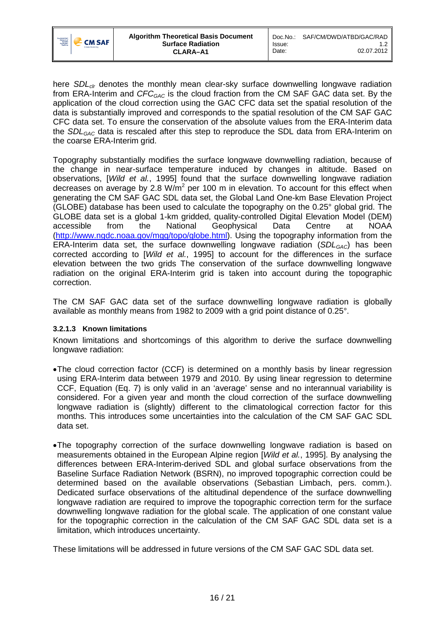

here *SDL<sub>clr</sub>* denotes the monthly mean clear-sky surface downwelling longwave radiation from ERA-Interim and *CFCGAC* is the cloud fraction from the CM SAF GAC data set. By the application of the cloud correction using the GAC CFC data set the spatial resolution of the data is substantially improved and corresponds to the spatial resolution of the CM SAF GAC CFC data set. To ensure the conservation of the absolute values from the ERA-Interim data the *SDLGAC* data is rescaled after this step to reproduce the SDL data from ERA-Interim on the coarse ERA-Interim grid.

Topography substantially modifies the surface longwave downwelling radiation, because of the change in near-surface temperature induced by changes in altitude. Based on observations, [*Wild et al.*, 1995] found that the surface downwelling longwave radiation decreases on average by 2.8  $W/m^2$  per 100 m in elevation. To account for this effect when generating the CM SAF GAC SDL data set, the Global Land One-km Base Elevation Project (GLOBE) database has been used to calculate the topography on the 0.25° global grid. The GLOBE data set is a global 1-km gridded, quality-controlled Digital Elevation Model (DEM)<br>accessible from the National Geophysical Data Centre at NOAA from the National Geophysical Data Centre at NOAA [\(http://www.ngdc.noaa.gov/mgg/topo/globe.html\)](http://www.ngdc.noaa.gov/mgg/topo/globe.html). Using the topography information from the ERA-Interim data set, the surface downwelling longwave radiation (*SDLGAC*) has been corrected according to [*Wild et al.*, 1995] to account for the differences in the surface elevation between the two grids The conservation of the surface downwelling longwave radiation on the original ERA-Interim grid is taken into account during the topographic correction.

The CM SAF GAC data set of the surface downwelling longwave radiation is globally available as monthly means from 1982 to 2009 with a grid point distance of 0.25°.

### **3.2.1.3 Known limitations**

Known limitations and shortcomings of this algorithm to derive the surface downwelling longwave radiation:

- •The cloud correction factor (CCF) is determined on a monthly basis by linear regression using ERA-Interim data between 1979 and 2010. By using linear regression to determine CCF, Equation [\(Eq. 7\)](#page-14-1) is only valid in an 'average' sense and no interannual variability is considered. For a given year and month the cloud correction of the surface downwelling longwave radiation is (slightly) different to the climatological correction factor for this months. This introduces some uncertainties into the calculation of the CM SAF GAC SDL data set.
- •The topography correction of the surface downwelling longwave radiation is based on measurements obtained in the European Alpine region [*Wild et al.*, 1995]. By analysing the differences between ERA-Interim-derived SDL and global surface observations from the Baseline Surface Radiation Network (BSRN), no improved topographic correction could be determined based on the available observations (Sebastian Limbach, pers. comm.). Dedicated surface observations of the altitudinal dependence of the surface downwelling longwave radiation are required to improve the topographic correction term for the surface downwelling longwave radiation for the global scale. The application of one constant value for the topographic correction in the calculation of the CM SAF GAC SDL data set is a limitation, which introduces uncertainty.

These limitations will be addressed in future versions of the CM SAF GAC SDL data set.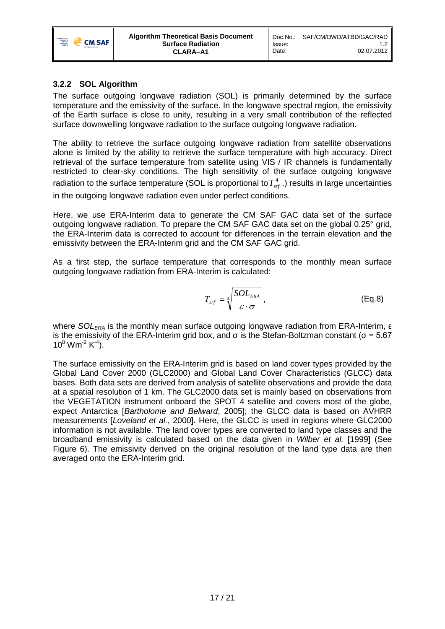

# <span id="page-16-0"></span>**3.2.2 SOL Algorithm**

The surface outgoing longwave radiation (SOL) is primarily determined by the surface temperature and the emissivity of the surface. In the longwave spectral region, the emissivity of the Earth surface is close to unity, resulting in a very small contribution of the reflected surface downwelling longwave radiation to the surface outgoing longwave radiation.

The ability to retrieve the surface outgoing longwave radiation from satellite observations alone is limited by the ability to retrieve the surface temperature with high accuracy. Direct retrieval of the surface temperature from satellite using VIS / IR channels is fundamentally restricted to clear-sky conditions. The high sensitivity of the surface outgoing longwave radiation to the surface temperature (SOL is proportional to  $T_{\text{sr}}^4$ .) results in large uncertainties in the outgoing longwave radiation even under perfect conditions.

Here, we use ERA-Interim data to generate the CM SAF GAC data set of the surface outgoing longwave radiation. To prepare the CM SAF GAC data set on the global 0.25° grid, the ERA-Interim data is corrected to account for differences in the terrain elevation and the emissivity between the ERA-Interim grid and the CM SAF GAC grid.

As a first step, the surface temperature that corresponds to the monthly mean surface outgoing longwave radiation from ERA-Interim is calculated:

$$
T_{\rm srf} = \sqrt[4]{\frac{SOL_{\rm ERA}}{\varepsilon \cdot \sigma}},
$$
 (Eq.8)

where *SOL<sub>ERA</sub>* is the monthly mean surface outgoing longwave radiation from ERA-Interim, ε is the emissivity of the ERA-Interim grid box, and σ is the Stefan-Boltzman constant (σ = 5.67  $10^8$  Wm<sup>-2</sup> K<sup>-4</sup>).

The surface emissivity on the ERA-Interim grid is based on land cover types provided by the Global Land Cover 2000 (GLC2000) and Global Land Cover Characteristics (GLCC) data bases. Both data sets are derived from analysis of satellite observations and provide the data at a spatial resolution of 1 km. The GLC2000 data set is mainly based on observations from the VEGETATION instrument onboard the SPOT 4 satellite and covers most of the globe, expect Antarctica [*Bartholome and Belward*, 2005]; the GLCC data is based on AVHRR measurements [*Loveland et al.*, 2000]. Here, the GLCC is used in regions where GLC2000 information is not available. The land cover types are converted to land type classes and the broadband emissivity is calculated based on the data given in *Wilber et al.* [1999] (See [Figure 6\)](#page-17-0). The emissivity derived on the original resolution of the land type data are then averaged onto the ERA-Interim grid.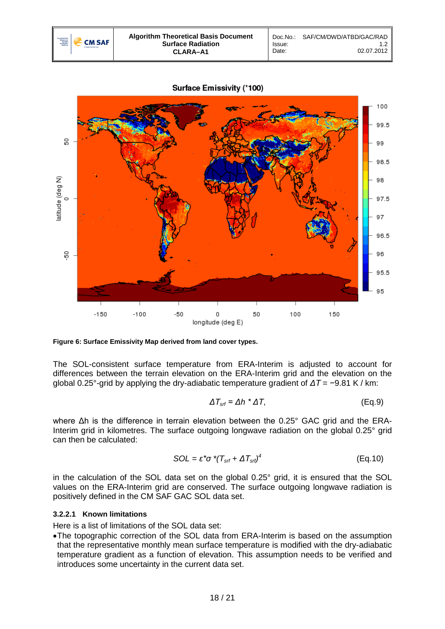



<span id="page-17-0"></span>**Figure 6: Surface Emissivity Map derived from land cover types.**

The SOL-consistent surface temperature from ERA-Interim is adjusted to account for differences between the terrain elevation on the ERA-Interim grid and the elevation on the global 0.25°-grid by applying the dry-adiabatic temperature gradient of *ΔT* = −9.81 K / km:

$$
\Delta T_{\rm srf} = \Delta h \cdot \Delta T, \tag{Eq.9}
$$

where Δh is the difference in terrain elevation between the 0.25° GAC grid and the ERA-Interim grid in kilometres. The surface outgoing longwave radiation on the global 0.25° grid can then be calculated:

$$
SOL = \varepsilon^* \sigma^* (T_{\text{srf}} + \Delta T_{\text{srf}})^4
$$
 (Eq.10)

in the calculation of the SOL data set on the global 0.25° grid, it is ensured that the SOL values on the ERA-Interim grid are conserved. The surface outgoing longwave radiation is positively defined in the CM SAF GAC SOL data set.

#### **3.2.2.1 Known limitations**

Here is a list of limitations of the SOL data set:

•The topographic correction of the SOL data from ERA-Interim is based on the assumption that the representative monthly mean surface temperature is modified with the dry-adiabatic temperature gradient as a function of elevation. This assumption needs to be verified and introduces some uncertainty in the current data set.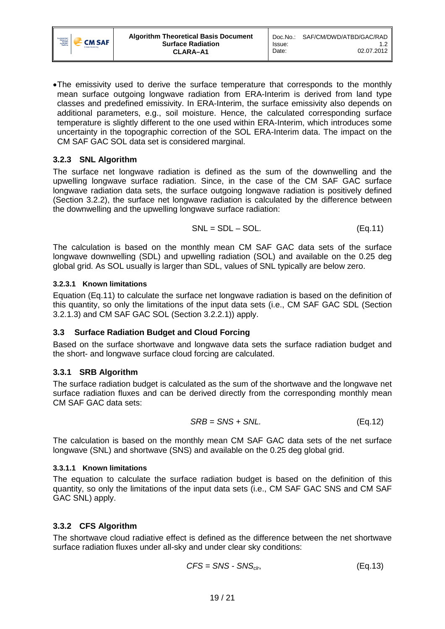

•The emissivity used to derive the surface temperature that corresponds to the monthly mean surface outgoing longwave radiation from ERA-Interim is derived from land type classes and predefined emissivity. In ERA-Interim, the surface emissivity also depends on additional parameters, e.g., soil moisture. Hence, the calculated corresponding surface temperature is slightly different to the one used within ERA-Interim, which introduces some uncertainty in the topographic correction of the SOL ERA-Interim data. The impact on the CM SAF GAC SOL data set is considered marginal.

## <span id="page-18-0"></span>**3.2.3 SNL Algorithm**

The surface net longwave radiation is defined as the sum of the downwelling and the upwelling longwave surface radiation. Since, in the case of the CM SAF GAC surface longwave radiation data sets, the surface outgoing longwave radiation is positively defined (Section 3.2.2), the surface net longwave radiation is calculated by the difference between the downwelling and the upwelling longwave surface radiation:

<span id="page-18-4"></span>
$$
SNL = SDL - SOL.
$$
 (Eq.11)

The calculation is based on the monthly mean CM SAF GAC data sets of the surface longwave downwelling (SDL) and upwelling radiation (SOL) and available on the 0.25 deg global grid. As SOL usually is larger than SDL, values of SNL typically are below zero.

## **3.2.3.1 Known limitations**

Equation [\(Eq.11\)](#page-18-4) to calculate the surface net longwave radiation is based on the definition of this quantity, so only the limitations of the input data sets (i.e., CM SAF GAC SDL (Section 3.2.1.3) and CM SAF GAC SOL (Section 3.2.2.1)) apply.

# <span id="page-18-1"></span>**3.3 Surface Radiation Budget and Cloud Forcing**

Based on the surface shortwave and longwave data sets the surface radiation budget and the short- and longwave surface cloud forcing are calculated.

# <span id="page-18-2"></span>**3.3.1 SRB Algorithm**

The surface radiation budget is calculated as the sum of the shortwave and the longwave net surface radiation fluxes and can be derived directly from the corresponding monthly mean CM SAF GAC data sets:

$$
SRB = SNS + SNL.
$$
 (Eq.12)

The calculation is based on the monthly mean CM SAF GAC data sets of the net surface longwave (SNL) and shortwave (SNS) and available on the 0.25 deg global grid.

### **3.3.1.1 Known limitations**

The equation to calculate the surface radiation budget is based on the definition of this quantity, so only the limitations of the input data sets (i.e., CM SAF GAC SNS and CM SAF GAC SNL) apply.

# <span id="page-18-3"></span>**3.3.2 CFS Algorithm**

The shortwave cloud radiative effect is defined as the difference between the net shortwave surface radiation fluxes under all-sky and under clear sky conditions:

$$
CFS = SNS - SNS_{\text{clr}}, \tag{Eq.13}
$$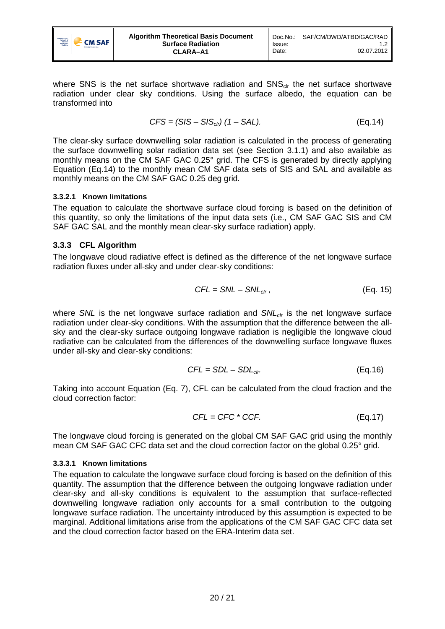

where SNS is the net surface shortwave radiation and  $SNS<sub>cir</sub>$  the net surface shortwave radiation under clear sky conditions. Using the surface albedo, the equation can be transformed into

<span id="page-19-1"></span>
$$
CFS = (SIS - SIScir) (1 - SAL).
$$
 (Eq.14)

The clear-sky surface downwelling solar radiation is calculated in the process of generating the surface downwelling solar radiation data set (see Section [3.1.1\)](#page-6-0) and also available as monthly means on the CM SAF GAC 0.25° grid. The CFS is generated by directly applying Equation [\(Eq.14\)](#page-19-1) to the monthly mean CM SAF data sets of SIS and SAL and available as monthly means on the CM SAF GAC 0.25 deg grid.

### **3.3.2.1 Known limitations**

The equation to calculate the shortwave surface cloud forcing is based on the definition of this quantity, so only the limitations of the input data sets (i.e., CM SAF GAC SIS and CM SAF GAC SAL and the monthly mean clear-sky surface radiation) apply.

### <span id="page-19-0"></span>**3.3.3 CFL Algorithm**

The longwave cloud radiative effect is defined as the difference of the net longwave surface radiation fluxes under all-sky and under clear-sky conditions:

$$
CFL = SNL - SNL_{\text{clr}}
$$
\n
$$
(Eq. 15)
$$

where *SNL* is the net longwave surface radiation and *SNL<sub>clr</sub>* is the net longwave surface radiation under clear-sky conditions. With the assumption that the difference between the allsky and the clear-sky surface outgoing longwave radiation is negligible the longwave cloud radiative can be calculated from the differences of the downwelling surface longwave fluxes under all-sky and clear-sky conditions:

$$
CFL = SDL - SDL_{chr} \tag{Eq.16}
$$

Taking into account Equation [\(Eq. 7\),](#page-14-1) CFL can be calculated from the cloud fraction and the cloud correction factor:

$$
CFL = CFC * CCF.
$$
 (Eq.17)

The longwave cloud forcing is generated on the global CM SAF GAC grid using the monthly mean CM SAF GAC CFC data set and the cloud correction factor on the global 0.25° grid.

### **3.3.3.1 Known limitations**

The equation to calculate the longwave surface cloud forcing is based on the definition of this quantity. The assumption that the difference between the outgoing longwave radiation under clear-sky and all-sky conditions is equivalent to the assumption that surface-reflected downwelling longwave radiation only accounts for a small contribution to the outgoing longwave surface radiation. The uncertainty introduced by this assumption is expected to be marginal. Additional limitations arise from the applications of the CM SAF GAC CFC data set and the cloud correction factor based on the ERA-Interim data set.